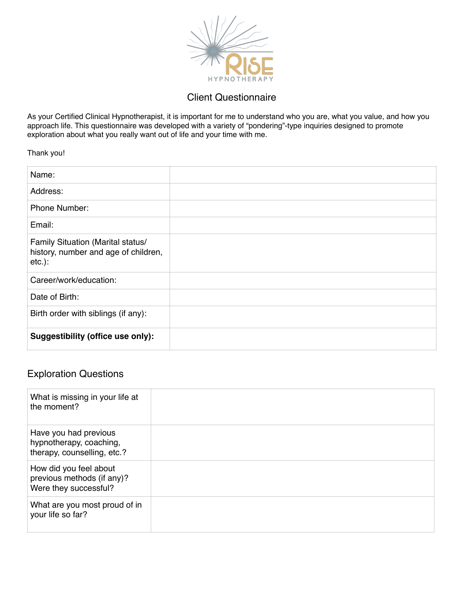

## Client Questionnaire

As your Certified Clinical Hypnotherapist, it is important for me to understand who you are, what you value, and how you approach life. This questionnaire was developed with a variety of "pondering"-type inquiries designed to promote exploration about what you really want out of life and your time with me.

Thank you!

| Name:                                                                                  |  |
|----------------------------------------------------------------------------------------|--|
| Address:                                                                               |  |
| Phone Number:                                                                          |  |
| Email:                                                                                 |  |
| Family Situation (Marital status/<br>history, number and age of children,<br>$etc.$ ): |  |
| Career/work/education:                                                                 |  |
| Date of Birth:                                                                         |  |
| Birth order with siblings (if any):                                                    |  |
| Suggestibility (office use only):                                                      |  |

## Exploration Questions

| What is missing in your life at<br>the moment?                                  |  |
|---------------------------------------------------------------------------------|--|
| Have you had previous<br>hypnotherapy, coaching,<br>therapy, counselling, etc.? |  |
| How did you feel about<br>previous methods (if any)?<br>Were they successful?   |  |
| What are you most proud of in<br>your life so far?                              |  |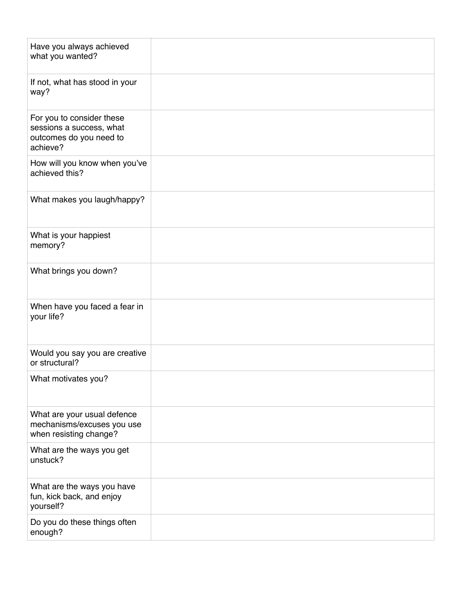| Have you always achieved<br>what you wanted?                                                 |  |
|----------------------------------------------------------------------------------------------|--|
| If not, what has stood in your<br>way?                                                       |  |
| For you to consider these<br>sessions a success, what<br>outcomes do you need to<br>achieve? |  |
| How will you know when you've<br>achieved this?                                              |  |
| What makes you laugh/happy?                                                                  |  |
| What is your happiest<br>memory?                                                             |  |
| What brings you down?                                                                        |  |
| When have you faced a fear in<br>your life?                                                  |  |
| Would you say you are creative<br>or structural?                                             |  |
| What motivates you?                                                                          |  |
| What are your usual defence<br>mechanisms/excuses you use<br>when resisting change?          |  |
| What are the ways you get<br>unstuck?                                                        |  |
| What are the ways you have<br>fun, kick back, and enjoy<br>yourself?                         |  |
| Do you do these things often<br>enough?                                                      |  |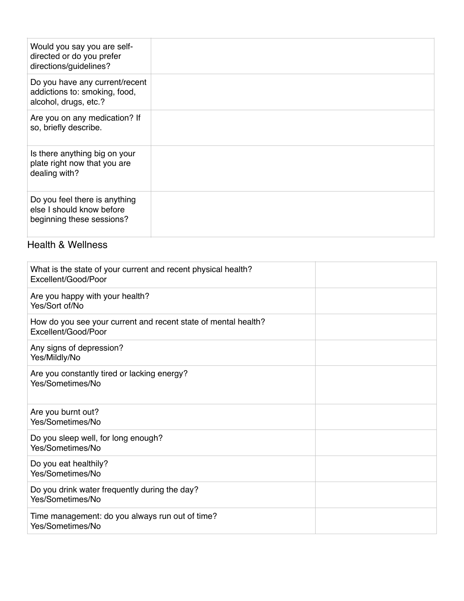| Would you say you are self-<br>directed or do you prefer<br>directions/guidelines?       |  |
|------------------------------------------------------------------------------------------|--|
| Do you have any current/recent<br>addictions to: smoking, food,<br>alcohol, drugs, etc.? |  |
| Are you on any medication? If<br>so, briefly describe.                                   |  |
| Is there anything big on your<br>plate right now that you are<br>dealing with?           |  |
| Do you feel there is anything<br>else I should know before<br>beginning these sessions?  |  |

## Health & Wellness

| What is the state of your current and recent physical health?<br>Excellent/Good/Poor  |
|---------------------------------------------------------------------------------------|
| Are you happy with your health?<br>Yes/Sort of/No                                     |
| How do you see your current and recent state of mental health?<br>Excellent/Good/Poor |
| Any signs of depression?<br>Yes/Mildly/No                                             |
| Are you constantly tired or lacking energy?<br>Yes/Sometimes/No                       |
| Are you burnt out?<br>Yes/Sometimes/No                                                |
| Do you sleep well, for long enough?<br>Yes/Sometimes/No                               |
| Do you eat healthily?<br>Yes/Sometimes/No                                             |
| Do you drink water frequently during the day?<br>Yes/Sometimes/No                     |
| Time management: do you always run out of time?<br>Yes/Sometimes/No                   |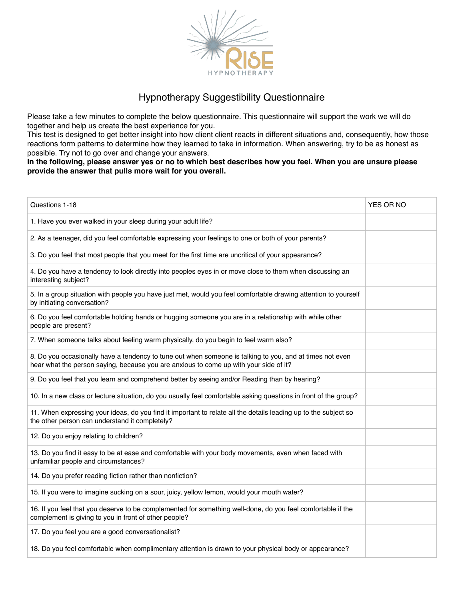

## Hypnotherapy Suggestibility Questionnaire

Please take a few minutes to complete the below questionnaire. This questionnaire will support the work we will do together and help us create the best experience for you.

This test is designed to get better insight into how client client reacts in different situations and, consequently, how those reactions form patterns to determine how they learned to take in information. When answering, try to be as honest as possible. Try not to go over and change your answers.

**In the following, please answer yes or no to which best describes how you feel. When you are unsure please provide the answer that pulls more wait for you overall.**

| Questions 1-18                                                                                                                                                                                    | YES OR NO |
|---------------------------------------------------------------------------------------------------------------------------------------------------------------------------------------------------|-----------|
| 1. Have you ever walked in your sleep during your adult life?                                                                                                                                     |           |
| 2. As a teenager, did you feel comfortable expressing your feelings to one or both of your parents?                                                                                               |           |
| 3. Do you feel that most people that you meet for the first time are uncritical of your appearance?                                                                                               |           |
| 4. Do you have a tendency to look directly into peoples eyes in or move close to them when discussing an<br>interesting subject?                                                                  |           |
| 5. In a group situation with people you have just met, would you feel comfortable drawing attention to yourself<br>by initiating conversation?                                                    |           |
| 6. Do you feel comfortable holding hands or hugging someone you are in a relationship with while other<br>people are present?                                                                     |           |
| 7. When someone talks about feeling warm physically, do you begin to feel warm also?                                                                                                              |           |
| 8. Do you occasionally have a tendency to tune out when someone is talking to you, and at times not even<br>hear what the person saying, because you are anxious to come up with your side of it? |           |
| 9. Do you feel that you learn and comprehend better by seeing and/or Reading than by hearing?                                                                                                     |           |
| 10. In a new class or lecture situation, do you usually feel comfortable asking questions in front of the group?                                                                                  |           |
| 11. When expressing your ideas, do you find it important to relate all the details leading up to the subject so<br>the other person can understand it completely?                                 |           |
| 12. Do you enjoy relating to children?                                                                                                                                                            |           |
| 13. Do you find it easy to be at ease and comfortable with your body movements, even when faced with<br>unfamiliar people and circumstances?                                                      |           |
| 14. Do you prefer reading fiction rather than nonfiction?                                                                                                                                         |           |
| 15. If you were to imagine sucking on a sour, juicy, yellow lemon, would your mouth water?                                                                                                        |           |
| 16. If you feel that you deserve to be complemented for something well-done, do you feel comfortable if the<br>complement is giving to you in front of other people?                              |           |
| 17. Do you feel you are a good conversationalist?                                                                                                                                                 |           |
| 18. Do you feel comfortable when complimentary attention is drawn to your physical body or appearance?                                                                                            |           |